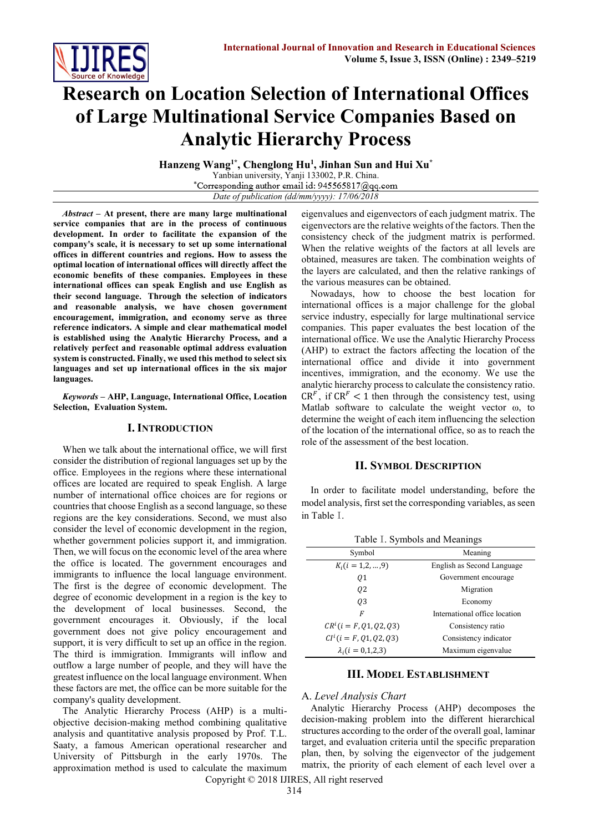

# **Research on Location Selection of International Offices of Large Multinational Service Companies Based on Analytic Hierarchy Process**

**Hanzeng Wang1\* , Chenglong Hu<sup>1</sup> , Jinhan Sun and Hui Xu\*** Yanbian university, Yanji 133002, P.R. China. \*Corresponding author email id: 945565817@qq.com *Date of publication (dd/mm/yyyy): 17/06/2018*

*Abstract* **– At present, there are many large multinational service companies that are in the process of continuous development. In order to facilitate the expansion of the company's scale, it is necessary to set up some international offices in different countries and regions. How to assess the optimal location of international offices will directly affect the economic benefits of these companies. Employees in these international offices can speak English and use English as their second language**. **Through the selection of indicators and reasonable analysis, we have chosen government encouragement, immigration, and economy serve as three reference indicators. A simple and clear mathematical model is established using the Analytic Hierarchy Process, and a relatively perfect and reasonable optimal address evaluation system is constructed. Finally, we used this method to select six languages and set up international offices in the six major languages.**

*Keywords* **– AHP, Language, International Office, Location Selection, Evaluation System.**

# **I. INTRODUCTION**

When we talk about the international office, we will first consider the distribution of regional languages set up by the office. Employees in the regions where these international offices are located are required to speak English. A large number of international office choices are for regions or countries that choose English as a second language, so these regions are the key considerations. Second, we must also consider the level of economic development in the region, whether government policies support it, and immigration. Then, we will focus on the economic level of the area where the office is located. The government encourages and immigrants to influence the local language environment. The first is the degree of economic development. The degree of economic development in a region is the key to the development of local businesses. Second, the government encourages it. Obviously, if the local government does not give policy encouragement and support, it is very difficult to set up an office in the region. The third is immigration. Immigrants will inflow and outflow a large number of people, and they will have the greatest influence on the local language environment. When these factors are met, the office can be more suitable for the company's quality development.

The Analytic Hierarchy Process (AHP) is a multiobjective decision-making method combining qualitative analysis and quantitative analysis proposed by Prof. T.L. Saaty, a famous American operational researcher and University of Pittsburgh in the early 1970s. The approximation method is used to calculate the maximum

eigenvalues and eigenvectors of each judgment matrix. The eigenvectors are the relative weights of the factors. Then the consistency check of the judgment matrix is performed. When the relative weights of the factors at all levels are obtained, measures are taken. The combination weights of the layers are calculated, and then the relative rankings of the various measures can be obtained.

Nowadays, how to choose the best location for international offices is a major challenge for the global service industry, especially for large multinational service companies. This paper evaluates the best location of the international office. We use the Analytic Hierarchy Process (AHP) to extract the factors affecting the location of the international office and divide it into government incentives, immigration, and the economy. We use the analytic hierarchy process to calculate the consistency ratio.  $CR<sup>F</sup>$ , if  $CR<sup>F</sup> < 1$  then through the consistency test, using Matlab software to calculate the weight vector ω, to determine the weight of each item influencing the selection of the location of the international office, so as to reach the role of the assessment of the best location.

## **II. SYMBOL DESCRIPTION**

In order to facilitate model understanding, before the model analysis, first set the corresponding variables, as seen in Table I.

Table I. Symbols and Meanings

| Symbol                       | Meaning                       |
|------------------------------|-------------------------------|
| $K_i$ ( <i>i</i> = 1,2, , 9) | English as Second Language    |
| 01                           | Government encourage          |
| 02                           | Migration                     |
| 03                           | Economy                       |
| F                            | International office location |
| $CR^{i}(i = F, Q1, Q2, Q3)$  | Consistency ratio             |
| $CI^{i}(i = F, Q1, Q2, Q3)$  | Consistency indicator         |
| $\lambda_i (i = 0.1, 2.3)$   | Maximum eigenvalue            |

# **III. MODEL ESTABLISHMENT**

## A. *Level Analysis Chart*

Analytic Hierarchy Process (AHP) decomposes the decision-making problem into the different hierarchical structures according to the order of the overall goal, laminar target, and evaluation criteria until the specific preparation plan, then, by solving the eigenvector of the judgement matrix, the priority of each element of each level over a

Copyright © 2018 IJIRES, All right reserved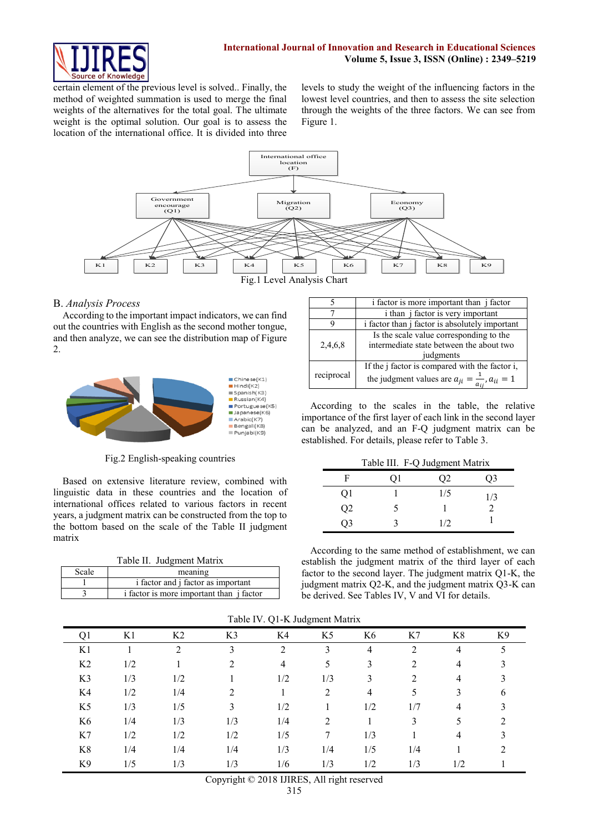

certain element of the previous level is solved.. Finally, the method of weighted summation is used to merge the final weights of the alternatives for the total goal. The ultimate weight is the optimal solution. Our goal is to assess the location of the international office. It is divided into three

levels to study the weight of the influencing factors in the lowest level countries, and then to assess the site selection through the weights of the three factors. We can see from Figure 1.



## B. *Analysis Process*

According to the important impact indicators, we can find out the countries with English as the second mother tongue, and then analyze, we can see the distribution map of Figure 2.



Fig.2 English-speaking countries

Based on extensive literature review, combined with linguistic data in these countries and the location of international offices related to various factors in recent years, a judgment matrix can be constructed from the top to the bottom based on the scale of the Table II judgment matrix

| Table II. Judgment Matrix |                                                 |  |  |  |  |  |
|---------------------------|-------------------------------------------------|--|--|--|--|--|
| Scale                     | meaning                                         |  |  |  |  |  |
|                           | i factor and j factor as important              |  |  |  |  |  |
|                           | i factor is more important than <i>i</i> factor |  |  |  |  |  |
|                           |                                                 |  |  |  |  |  |

|            | i factor is more important than j factor                                                                             |
|------------|----------------------------------------------------------------------------------------------------------------------|
|            | i than <i>j</i> factor is very important                                                                             |
|            | i factor than j factor is absolutely important                                                                       |
| 2,4,6,8    | Is the scale value corresponding to the<br>intermediate state between the about two<br>judgments                     |
| reciprocal | If the j factor is compared with the factor i,<br>the judgment values are $a_{ji} = \frac{1}{a_{ij}}$ , $a_{ii} = 1$ |

According to the scales in the table, the relative importance of the first layer of each link in the second layer can be analyzed, and an F-Q judgment matrix can be established. For details, please refer to Table 3.

|  | Table III. F-Q Judgment Matrix |
|--|--------------------------------|
|--|--------------------------------|

|                |    | $14010$ $111.1$ $\sqrt{8}$ augusta matrix |     |
|----------------|----|-------------------------------------------|-----|
| F              | Οl | Q <sub>2</sub>                            | O3  |
| Q1             |    | 1/5                                       | 1/3 |
| Q2             |    |                                           |     |
| Q <sub>3</sub> |    | 1/2                                       |     |

According to the same method of establishment, we can establish the judgment matrix of the third layer of each factor to the second layer. The judgment matrix Q1-K, the judgment matrix Q2-K, and the judgment matrix Q3-K can be derived. See Tables IV, V and VI for details.

| Q <sub>1</sub> | K1  | K <sub>2</sub> | K3                          | K4             | ÷<br>K5 | K6             | K7             | K8  | K9 |
|----------------|-----|----------------|-----------------------------|----------------|---------|----------------|----------------|-----|----|
|                |     |                |                             |                |         |                |                |     |    |
| K1             |     | $\overline{2}$ | 3                           | $\mathfrak{D}$ | 3       | 4              | $\overline{2}$ | 4   |    |
| K <sub>2</sub> | 1/2 |                | $\mathcal{D}_{\mathcal{A}}$ | $\overline{4}$ | 5       | 3              | 2              | 4   |    |
| K3             | 1/3 | 1/2            |                             | 1/2            | 1/3     | 3              | 2              | 4   |    |
| K4             | 1/2 | 1/4            | 2                           |                | 2       | $\overline{4}$ |                | 3   |    |
| K <sub>5</sub> | 1/3 | 1/5            | 3                           | 1/2            |         | 1/2            | 1/7            | 4   |    |
| K <sub>6</sub> | 1/4 | 1/3            | 1/3                         | 1/4            | 2       |                | 3              |     |    |
| K7             | 1/2 | 1/2            | 1/2                         | 1/5            | 7       | 1/3            |                | 4   |    |
| K8             | 1/4 | 1/4            | 1/4                         | 1/3            | 1/4     | 1/5            | 1/4            |     |    |
| K9             | 1/5 | 1/3            | 1/3                         | 1/6            | 1/3     | 1/2            | 1/3            | 1/2 |    |

Table IV. Q1-K Judgment Matrix

Copyright © 2018 IJIRES, All right reserved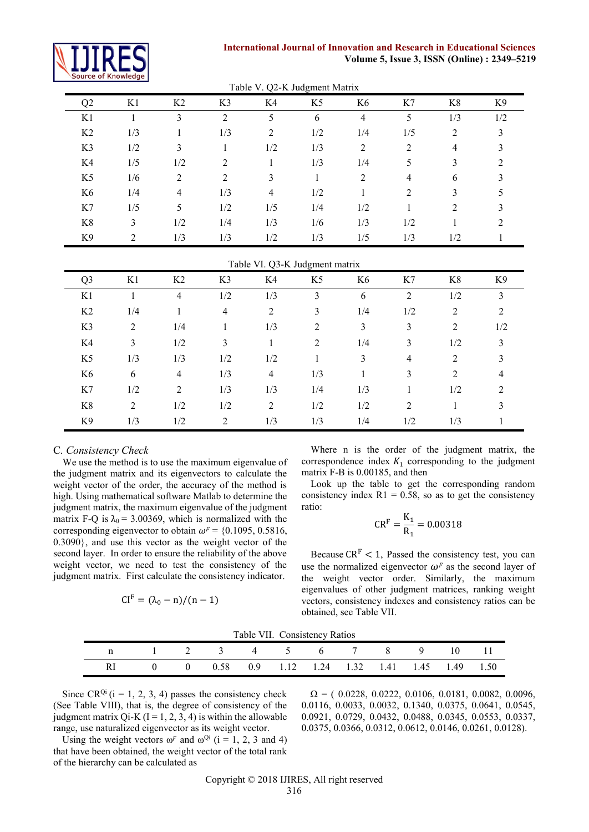

# **International Journal of Innovation and Research in Educational Sciences Volume 5, Issue 3, ISSN (Online) : 2349–5219**

| Table V. Q2-K Judgment Matrix  |                |                |                |                |                |                |                |                  |                |
|--------------------------------|----------------|----------------|----------------|----------------|----------------|----------------|----------------|------------------|----------------|
| Q2                             | K1             | K2             | K3             | K4             | K <sub>5</sub> | K <sub>6</sub> | K7             | K8               | K <sub>9</sub> |
| K1                             | $\mathbf{1}$   | $\overline{3}$ | $\overline{2}$ | 5              | 6              | $\overline{4}$ | 5              | 1/3              | 1/2            |
| K2                             | 1/3            | 1              | 1/3            | $\overline{2}$ | 1/2            | 1/4            | 1/5            | $\boldsymbol{2}$ | $\mathfrak{Z}$ |
| K3                             | 1/2            | $\overline{3}$ | $\mathbf{1}$   | 1/2            | 1/3            | $\overline{2}$ | $\overline{2}$ | $\overline{4}$   | $\overline{3}$ |
| K4                             | 1/5            | 1/2            | $\overline{c}$ | $\mathbf{1}$   | 1/3            | 1/4            | 5              | 3                | $\overline{2}$ |
| K <sub>5</sub>                 | 1/6            | $\overline{2}$ | $\overline{2}$ | $\overline{3}$ | $\mathbf{1}$   | $\overline{2}$ | 4              | 6                | $\overline{3}$ |
| K <sub>6</sub>                 | 1/4            | $\overline{4}$ | 1/3            | $\overline{4}$ | 1/2            | $\mathbf{1}$   | $\overline{2}$ | 3                | 5              |
| K7                             | 1/5            | 5              | 1/2            | 1/5            | 1/4            | 1/2            | $\mathbf{1}$   | $\overline{2}$   | 3              |
| $\rm K8$                       | $\overline{3}$ | 1/2            | 1/4            | 1/3            | 1/6            | 1/3            | 1/2            | $\mathbf{1}$     | $\overline{2}$ |
| K9                             | $\overline{2}$ | 1/3            | 1/3            | 1/2            | 1/3            | 1/5            | 1/3            | 1/2              | $\mathbf{1}$   |
| Table VI. Q3-K Judgment matrix |                |                |                |                |                |                |                |                  |                |
|                                |                |                |                |                |                |                |                |                  |                |
| Q <sub>3</sub>                 | K1             | K2             | K3             | K4             | K <sub>5</sub> | K6             | K7             | K8               | K9             |
| K1                             | $\mathbf{1}$   | $\overline{4}$ | 1/2            | 1/3            | $\overline{3}$ | 6              | $\overline{2}$ | 1/2              | $\overline{3}$ |
| K2                             | 1/4            | $\mathbf{1}$   | $\overline{4}$ | $\overline{2}$ | $\overline{3}$ | 1/4            | 1/2            | $\overline{2}$   | $\overline{2}$ |
| K3                             | $\overline{2}$ | 1/4            | 1              | 1/3            | $\overline{2}$ | $\overline{3}$ | $\mathfrak{Z}$ | $\overline{2}$   | 1/2            |
| K4                             | $\overline{3}$ | 1/2            | $\overline{3}$ | $\mathbf{1}$   | $\overline{2}$ | 1/4            | $\overline{3}$ | 1/2              | $\overline{3}$ |
| K <sub>5</sub>                 | 1/3            | 1/3            | 1/2            | 1/2            | $\mathbf{1}$   | 3              | 4              | $\overline{2}$   | 3              |
| K <sub>6</sub>                 | 6              | $\overline{4}$ | 1/3            | $\overline{4}$ | 1/3            | $\mathbf{1}$   | $\overline{3}$ | $\overline{2}$   | $\overline{4}$ |
| K7                             | 1/2            | $\overline{2}$ | 1/3            | 1/3            | 1/4            | 1/3            | $\mathbf{1}$   | 1/2              | $\overline{2}$ |

K9 1/3 1/2 2 1/3 1/3 1/4 1/2 1/3 1

# C*. Consistency Check*

We use the method is to use the maximum eigenvalue of the judgment matrix and its eigenvectors to calculate the weight vector of the order, the accuracy of the method is high. Using mathematical software Matlab to determine the judgment matrix, the maximum eigenvalue of the judgment matrix F-Q is  $\lambda_0$  = 3.00369, which is normalized with the corresponding eigenvector to obtain  $\omega^F = \{0.1095, 0.5816,$ 0.3090}, and use this vector as the weight vector of the second layer. In order to ensure the reliability of the above weight vector, we need to test the consistency of the judgment matrix. First calculate the consistency indicator.

$$
CIF = (\lambda_0 - n)/(n - 1)
$$

Where n is the order of the judgment matrix, the correspondence index  $K_1$  corresponding to the judgment matrix F-B is 0.00185, and then

Look up the table to get the corresponding random consistency index  $R1 = 0.58$ , so as to get the consistency ratio:

$$
CR^{F} = \frac{K_1}{R_1} = 0.00318
$$

Because  $CR<sup>F</sup> < 1$ , Passed the consistency test, you can use the normalized eigenvector  $\omega^F$  as the second layer of the weight vector order. Similarly, the maximum eigenvalues of other judgment matrices, ranking weight vectors, consistency indexes and consistency ratios can be obtained, see Table VII.

Table VII. Consistency Ratios

| Table VII. Consistency Ratios |                                                    |  |  |  |  |  |  |  |  |  |
|-------------------------------|----------------------------------------------------|--|--|--|--|--|--|--|--|--|
|                               | n 1 2 3 4 5 6 7 8 9 10 11                          |  |  |  |  |  |  |  |  |  |
|                               | RI 0 0 0.58 0.9 1.12 1.24 1.32 1.41 1.45 1.49 1.50 |  |  |  |  |  |  |  |  |  |

Since  $CR^{Qi}$  (i = 1, 2, 3, 4) passes the consistency check (See Table VIII), that is, the degree of consistency of the judgment matrix Qi-K ( $I = 1, 2, 3, 4$ ) is within the allowable range, use naturalized eigenvector as its weight vector.

Using the weight vectors  $\omega^F$  and  $\omega^{Qi}$  (i = 1, 2, 3 and 4) that have been obtained, the weight vector of the total rank of the hierarchy can be calculated as

 $\Omega = (0.0228, 0.0222, 0.0106, 0.0181, 0.0082, 0.0096,$ 0.0116, 0.0033, 0.0032, 0.1340, 0.0375, 0.0641, 0.0545, 0.0921, 0.0729, 0.0432, 0.0488, 0.0345, 0.0553, 0.0337, 0.0375, 0.0366, 0.0312, 0.0612, 0.0146, 0.0261, 0.0128).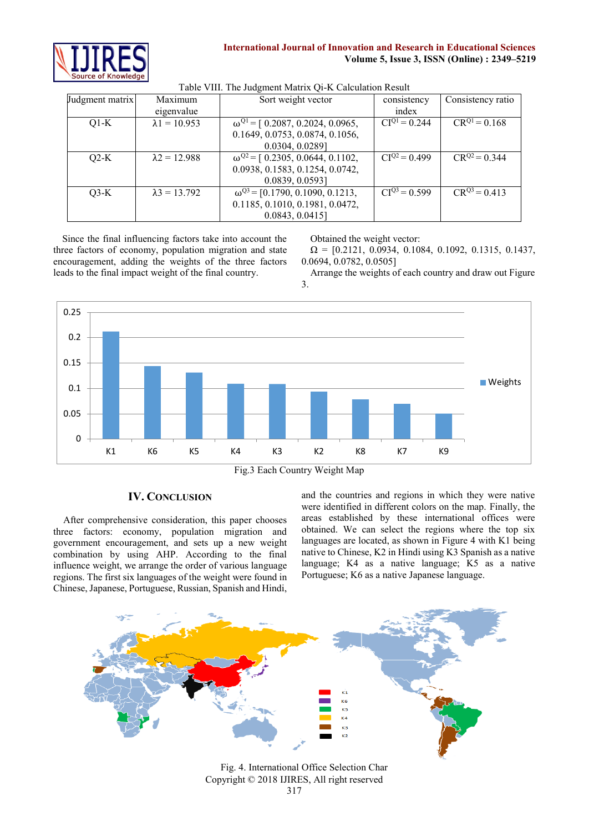

| Judgment matrix | Maximum              | Sort weight vector                        | consistency                  | Consistency ratio |
|-----------------|----------------------|-------------------------------------------|------------------------------|-------------------|
|                 | eigenvalue           |                                           | index                        |                   |
| $Q1-K$          | $\lambda$ 1 = 10.953 | $\omega^{Q1}$ = [ 0.2087, 0.2024, 0.0965, | $CIQ1 = 0.244$               | $CR^{Q1} = 0.168$ |
|                 |                      | 0.1649, 0.0753, 0.0874, 0.1056,           |                              |                   |
|                 |                      | 0.0304, 0.0289]                           |                              |                   |
| $O2-K$          | $\lambda$ 2 = 12.988 | $\omega^{Q2}$ = [ 0.2305, 0.0644, 0.1102, | $\overline{CI}^{Q2} = 0.499$ | $CR^{Q2} = 0.344$ |
|                 |                      | 0.0938, 0.1583, 0.1254, 0.0742,           |                              |                   |
|                 |                      | 0.0839, 0.0593]                           |                              |                   |
| $O3-K$          | $\lambda$ 3 = 13.792 | $\omega^{Q3}$ = [0.1790, 0.1090, 0.1213,  | $CI^{Q3} = 0.599$            | $CR^{Q3} = 0.413$ |
|                 |                      | 0.1185, 0.1010, 0.1981, 0.0472,           |                              |                   |
|                 |                      | 0.0843, 0.0415                            |                              |                   |

#### Table VIII. The Judgment Matrix Qi-K Calculation Result

Since the final influencing factors take into account the three factors of economy, population migration and state encouragement, adding the weights of the three factors leads to the final impact weight of the final country.

Obtained the weight vector:

 $\Omega = [0.2121, 0.0934, 0.1084, 0.1092, 0.1315, 0.1437,$ 0.0694, 0.0782, 0.0505]

Arrange the weights of each country and draw out Figure 3.



# **IV. CONCLUSION**

After comprehensive consideration, this paper chooses three factors: economy, population migration and government encouragement, and sets up a new weight combination by using AHP. According to the final influence weight, we arrange the order of various language regions. The first six languages of the weight were found in Chinese, Japanese, Portuguese, Russian, Spanish and Hindi, and the countries and regions in which they were native were identified in different colors on the map. Finally, the areas established by these international offices were obtained. We can select the regions where the top six languages are located, as shown in Figure 4 with K1 being native to Chinese, K2 in Hindi using K3 Spanish as a native language; K4 as a native language; K5 as a native Portuguese; K6 as a native Japanese language.



Copyright © 2018 IJIRES, All right reserved Fig. 4. International Office Selection Char